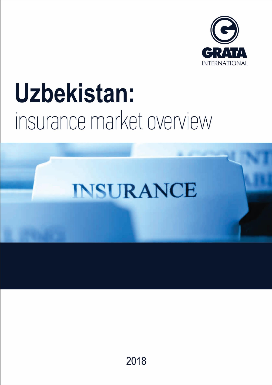

# Uzbekistan: insurance market overview

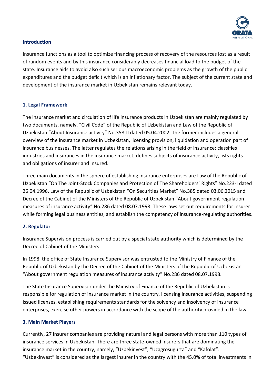

## **Introduction**

Insurance functions as a tool to optimize financing process of recovery of the resources lost as a result of random events and by this insurance considerably decreases financial load to the budget of the state. Insurance aids to avoid also such serious macroeconomic problems as the growth of the public expenditures and the budget deficit which is an inflationary factor. The subject of the current state and development of the insurance market in Uzbekistan remains relevant today.

## **1. Legal Framework**

The insurance market and circulation of life insurance products in Uzbekistan are mainly regulated by two documents, namely, "Civil Code" of the Republic of Uzbekistan and Law of the Republic of Uzbekistan "About Insurance activity" No.358-II dated 05.04.2002. The former includes a general overview of the insurance market in Uzbekistan, licensing provision, liquidation and operation part of insurance businesses. The latter regulates the relations arising in the field of insurance; classifies industries and insurances in the insurance market; defines subjects of insurance activity, lists rights and obligations of insurer and insured.

Three main documents in the sphere of establishing insurance enterprises are Law of the Republic of Uzbekistan "On The Joint-Stock Companies and Protection of The Shareholders` Rights" No.223-I dated 26.04.1996, Law of the Republic of Uzbekistan "On Securities Market" No.385 dated 03.06.2015 and Decree of the Cabinet of the Ministers of the Republic of Uzbekistan "About government regulation measures of insurance activity" No.286 dated 08.07.1998. These laws set out requirements for insurer while forming legal business entities, and establish the competency of insurance-regulating authorities.

# **2. Regulator**

Insurance Supervision process is carried out by a special state authority which is determined by the Decree of Cabinet of the Ministers.

In 1998, the office of State Insurance Supervisor was entrusted to the Ministry of Finance of the Republic of Uzbekistan by the Decree of the Cabinet of the Ministers of the Republic of Uzbekistan "About government regulation measures of insurance activity" No.286 dated 08.07.1998.

The State Insurance Supervisor under the Ministry of Finance of the Republic of Uzbekistan is responsible for regulation of insurance market in the country, licensing insurance activities, suspending issued licenses, establishing requirements standards for the solvency and insolvency of insurance enterprises, exercise other powers in accordance with the scope of the authority provided in the law.

## **3. Main Market Players**

Currently, 27 insurer companies are providing natural and legal persons with more than 110 types of insurance services in Uzbekistan. There are three state-owned insurers that are dominating the insurance market in the country, namely, "Uzbekinvest", "Uzagrosugurta" and "Kafolat". "Uzbekinvest" is considered as the largest insurer in the country with the 45.0% of total investments in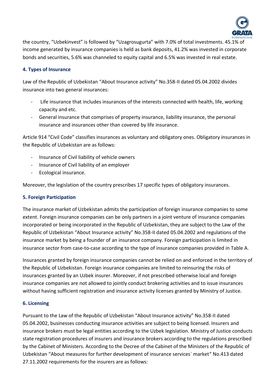

the country, "Uzbekinvest" is followed by "Uzagrosugurta" with 7.0% of total investments. 45.1% of income generated by insurance companies is held as bank deposits, 41.2% was invested in corporate bonds and securities, 5.6% was channeled to equity capital and 6.5% was invested in real estate.

# **4. Types of Insurance**

Law of the Republic of Uzbekistan "About Insurance activity" No.358-II dated 05.04.2002 divides insurance into two general insurances:

- Life insurance that includes insurances of the interests connected with health, life, working capacity and etc.
- General insurance that comprises of property insurance, liability insurance, the personal insurance and insurances other than covered by life insurance.

Article 914 "Civil Code" classifies insurances as voluntary and obligatory ones. Obligatory insurances in the Republic of Uzbekistan are as follows:

- Insurance of Civil liability of vehicle owners
- Insurance of Civil liability of an employer
- Ecological insurance.

Moreover, the legislation of the country prescribes 17 specific types of obligatory insurances.

# **5. Foreign Participation**

The insurance market of Uzbekistan admits the participation of foreign insurance companies to some extent. Foreign insurance companies can be only partners in a joint venture of insurance companies incorporated or being incorporated in the Republic of Uzbekistan, they are subject to the Law of the Republic of Uzbekistan "About Insurance activity" No.358-II dated 05.04.2002 and regulations of the insurance market by being a founder of an insurance company. Foreign participation is limited in insurance sector from case-to-case according to the type of insurance companies provided in Table A.

Insurances granted by foreign insurance companies cannot be relied on and enforced in the territory of the Republic of Uzbekistan. Foreign insurance companies are limited to reinsuring the risks of insurances granted by an Uzbek insurer. Moreover, if not prescribed otherwise local and foreign insurance companies are not allowed to jointly conduct brokering activities and to issue insurances without having sufficient registration and insurance activity licenses granted by Ministry of Justice.

# **6. Licensing**

Pursuant to the Law of the Republic of Uzbekistan "About Insurance activity" No.358-II dated 05.04.2002, businesses conducting insurance activities are subject to being licensed. Insurers and insurance brokers must be legal entities according to the Uzbek legislation. Ministry of Justice conducts state registration procedures of insurers and insurance brokers according to the regulations prescribed by the Cabinet of Ministers. According to the Decree of the Cabinet of the Ministers of the Republic of Uzbekistan "About measures for further development of insurance services` market" No.413 dated 27.11.2002 requirements for the insurers are as follows: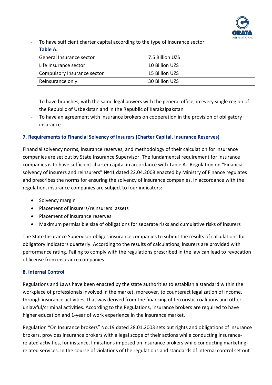

To have sufficient charter capital according to the type of insurance sector **Table A.**

| General Insurance sector    | 7.5 Billion UZS |
|-----------------------------|-----------------|
| Life Insurance sector       | 10 Billion UZS  |
| Compulsory Insurance sector | 15 Billion UZS  |
| Reinsurance only            | 30 Billion UZS  |

- To have branches, with the same legal powers with the general office, in every single region of the Republic of Uzbekistan and in the Republic of Karakalpakstan
- To have an agreement with insurance brokers on cooperation in the provision of obligatory insurance

## **7. Requirements to Financial Solvency of Insurers (Charter Capital, Insurance Reserves)**

Financial solvency norms, insurance reserves, and methodology of their calculation for insurance companies are set out by State Insurance Supervisor. The fundamental requirement for insurance companies is to have sufficient charter capital in accordance with Table A. Regulation on "Financial solvency of insurers and reinsurers" Nº41 dated 22.04.2008 enacted by Ministry of Finance regulates and prescribes the norms for ensuring the solvency of insurance companies. In accordance with the regulation, insurance companies are subject to four indicators:

- Solvency margin
- Placement of insurers/reinsurers` assets
- Placement of insurance reserves
- Maximum permissible size of obligations for separate risks and cumulative risks of insurers

The State Insurance Supervisor obliges insurance companies to submit the results of calculations for obligatory indicators quarterly. According to the results of calculations, insurers are provided with performance rating. Failing to comply with the regulations prescribed in the law can lead to revocation of license from insurance companies.

## **8. Internal Control**

Regulations and Laws have been enacted by the state authorities to establish a standard within the workplace of professionals involved in the market, moreover, to counteract legalization of income, through insurance activities, that was derived from the financing of terroristic coalitions and other unlawful/criminal activities. According to the Regulations, insurance brokers are required to have higher education and 1-year of work experience in the insurance market.

Regulation "On Insurance brokers" No.19 dated 28.01.2003 sets out rights and obligations of insurance brokers, provides insurance brokers with a legal scope of their actions while conducting insurancerelated activities, for instance, limitations imposed on insurance brokers while conducting marketingrelated services. In the course of violations of the regulations and standards of internal control set out